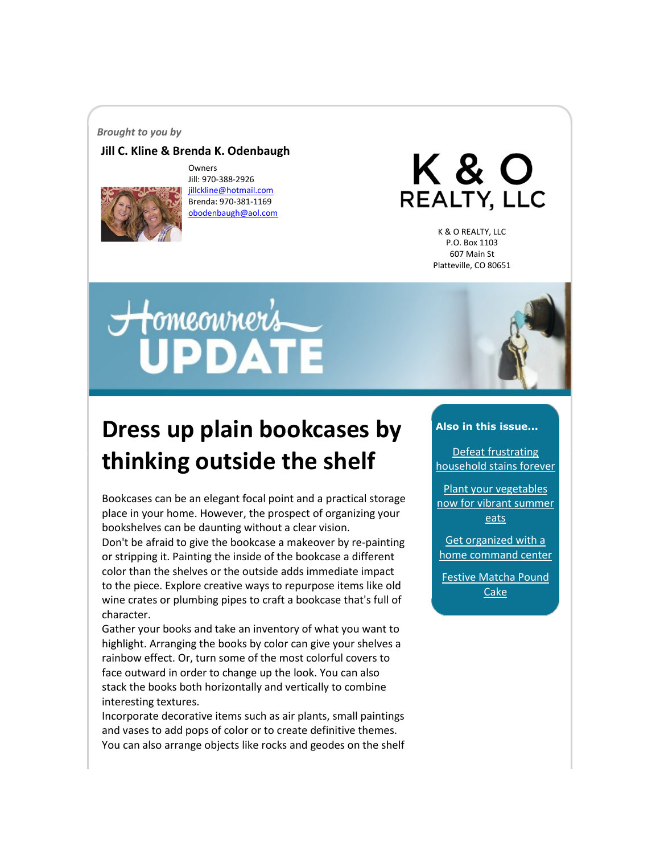#### *Brought to you by*

#### **Jill C. Kline & Brenda K. Odenbaugh**



Owners Jill: 970-388-2926 [jillckline@hotmail.com](mailto:jillckline@hotmail.com) Brenda: 970-381-1169 [obodenbaugh@aol.com](mailto:obodenbaugh@aol.com)

K & O **REALTY, LLC** 

> K & O REALTY, LLC P.O. Box 1103 607 Main St Platteville, CO 80651

# Homeonner's



## **Dress up plain bookcases by thinking outside the shelf**

Bookcases can be an elegant focal point and a practical storage place in your home. However, the prospect of organizing your bookshelves can be daunting without a clear vision.

Don't be afraid to give the bookcase a makeover by re-painting or stripping it. Painting the inside of the bookcase a different color than the shelves or the outside adds immediate impact to the piece. Explore creative ways to repurpose items like old wine crates or plumbing pipes to craft a bookcase that's full of character.

Gather your books and take an inventory of what you want to highlight. Arranging the books by color can give your shelves a rainbow effect. Or, turn some of the most colorful covers to face outward in order to change up the look. You can also stack the books both horizontally and vertically to combine interesting textures.

Incorporate decorative items such as air plants, small paintings and vases to add pops of color or to create definitive themes. You can also arrange objects like rocks and geodes on the shelf

#### **Also in this issue...**

[Defeat frustrating](#page-1-0)  [household stains forever](#page-1-0)

[Plant your vegetables](#page-2-0)  [now for vibrant summer](#page-2-0)  [eats](#page-2-0)

[Get organized with a](#page-2-1)  [home command center](#page-2-1)

[Festive Matcha Pound](#page-3-0)  [Cake](#page-3-0)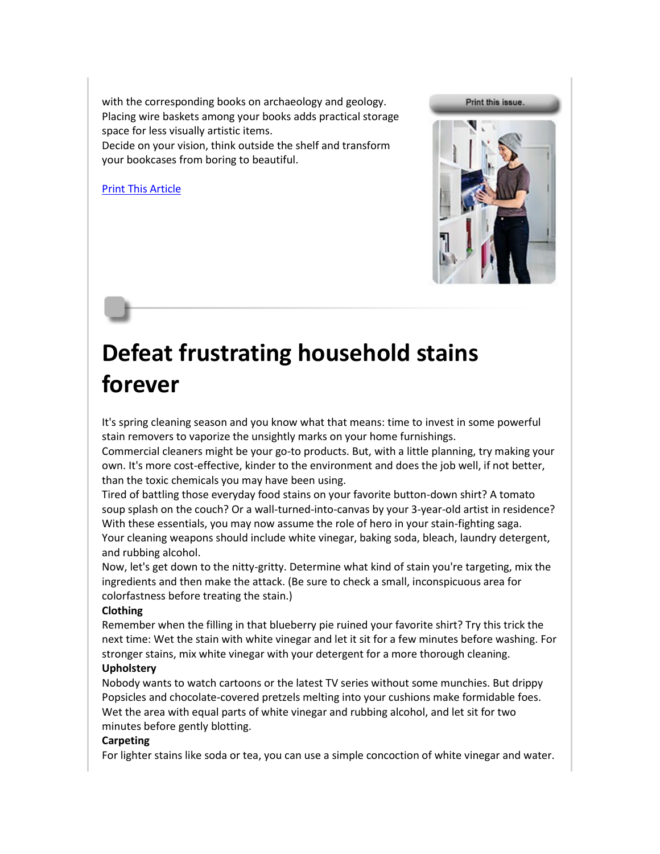with the corresponding books on archaeology and geology. Placing wire baskets among your books adds practical storage space for less visually artistic items.

Decide on your vision, think outside the shelf and transform your bookcases from boring to beautiful.

[Print This Article](http://www.tpmco.com/pmcwebdata/enewsletters/2018-03/3524524_1.html)



## <span id="page-1-0"></span>**Defeat frustrating household stains forever**

It's spring cleaning season and you know what that means: time to invest in some powerful stain removers to vaporize the unsightly marks on your home furnishings.

Commercial cleaners might be your go-to products. But, with a little planning, try making your own. It's more cost-effective, kinder to the environment and does the job well, if not better, than the toxic chemicals you may have been using.

Tired of battling those everyday food stains on your favorite button-down shirt? A tomato soup splash on the couch? Or a wall-turned-into-canvas by your 3-year-old artist in residence? With these essentials, you may now assume the role of hero in your stain-fighting saga. Your cleaning weapons should include white vinegar, baking soda, bleach, laundry detergent, and rubbing alcohol.

Now, let's get down to the nitty-gritty. Determine what kind of stain you're targeting, mix the ingredients and then make the attack. (Be sure to check a small, inconspicuous area for colorfastness before treating the stain.)

#### **Clothing**

Remember when the filling in that blueberry pie ruined your favorite shirt? Try this trick the next time: Wet the stain with white vinegar and let it sit for a few minutes before washing. For stronger stains, mix white vinegar with your detergent for a more thorough cleaning.

#### **Upholstery**

Nobody wants to watch cartoons or the latest TV series without some munchies. But drippy Popsicles and chocolate-covered pretzels melting into your cushions make formidable foes. Wet the area with equal parts of white vinegar and rubbing alcohol, and let sit for two minutes before gently blotting.

#### **Carpeting**

For lighter stains like soda or tea, you can use a simple concoction of white vinegar and water.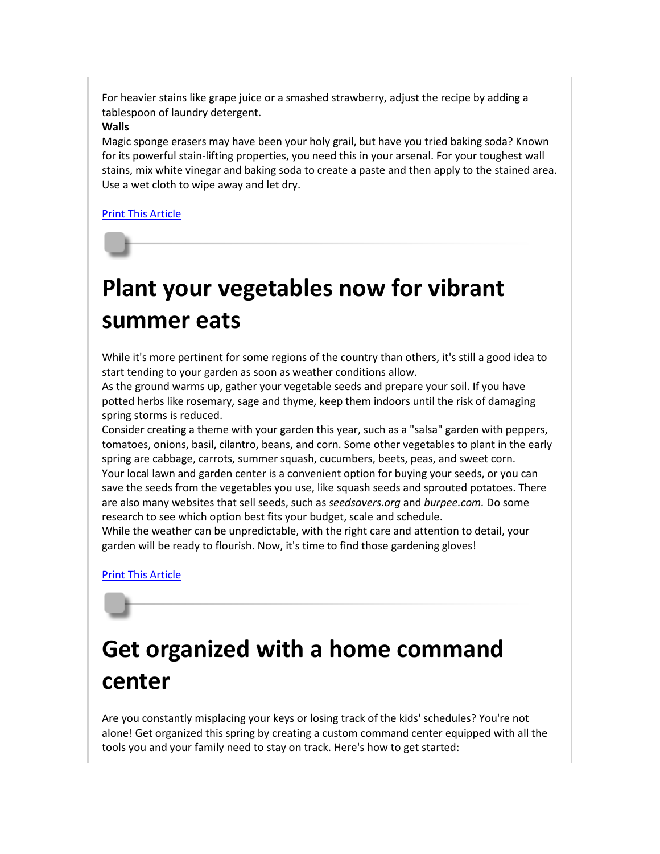For heavier stains like grape juice or a smashed strawberry, adjust the recipe by adding a tablespoon of laundry detergent.

#### **Walls**

Magic sponge erasers may have been your holy grail, but have you tried baking soda? Known for its powerful stain-lifting properties, you need this in your arsenal. For your toughest wall stains, mix white vinegar and baking soda to create a paste and then apply to the stained area. Use a wet cloth to wipe away and let dry.

[Print This Article](http://www.tpmco.com/pmcwebdata/enewsletters/2018-03/3524524_2.html)

## <span id="page-2-0"></span>**Plant your vegetables now for vibrant summer eats**

While it's more pertinent for some regions of the country than others, it's still a good idea to start tending to your garden as soon as weather conditions allow.

As the ground warms up, gather your vegetable seeds and prepare your soil. If you have potted herbs like rosemary, sage and thyme, keep them indoors until the risk of damaging spring storms is reduced.

Consider creating a theme with your garden this year, such as a "salsa" garden with peppers, tomatoes, onions, basil, cilantro, beans, and corn. Some other vegetables to plant in the early spring are cabbage, carrots, summer squash, cucumbers, beets, peas, and sweet corn. Your local lawn and garden center is a convenient option for buying your seeds, or you can save the seeds from the vegetables you use, like squash seeds and sprouted potatoes. There are also many websites that sell seeds, such as *seedsavers.org* and *burpee.com.* Do some research to see which option best fits your budget, scale and schedule.

While the weather can be unpredictable, with the right care and attention to detail, your garden will be ready to flourish. Now, it's time to find those gardening gloves!

### [Print This Article](http://www.tpmco.com/pmcwebdata/enewsletters/2018-03/3524524_3.html)

## <span id="page-2-1"></span>**Get organized with a home command center**

Are you constantly misplacing your keys or losing track of the kids' schedules? You're not alone! Get organized this spring by creating a custom command center equipped with all the tools you and your family need to stay on track. Here's how to get started: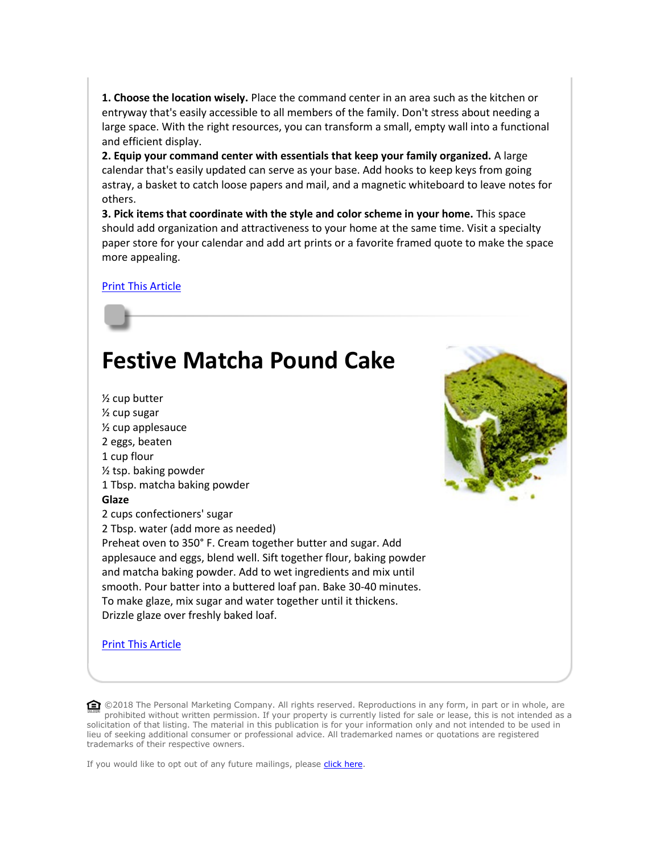**1. Choose the location wisely.** Place the command center in an area such as the kitchen or entryway that's easily accessible to all members of the family. Don't stress about needing a large space. With the right resources, you can transform a small, empty wall into a functional and efficient display.

**2. Equip your command center with essentials that keep your family organized.** A large calendar that's easily updated can serve as your base. Add hooks to keep keys from going astray, a basket to catch loose papers and mail, and a magnetic whiteboard to leave notes for others.

**3. Pick items that coordinate with the style and color scheme in your home.** This space should add organization and attractiveness to your home at the same time. Visit a specialty paper store for your calendar and add art prints or a favorite framed quote to make the space more appealing.

#### [Print This Article](http://www.tpmco.com/pmcwebdata/enewsletters/2018-03/3524524_4.html)

## <span id="page-3-0"></span>**Festive Matcha Pound Cake**



[Print This Article](http://www.tpmco.com/pmcwebdata/enewsletters/2018-03/3524524_5.html)



**◯ ©2018** The Personal Marketing Company. All rights reserved. Reproductions in any form, in part or in whole, are prohibited without written permission. If your property is currently listed for sale or lease, this is not intended as a solicitation of that listing. The material in this publication is for your information only and not intended to be used in lieu of seeking additional consumer or professional advice. All trademarked names or quotations are registered trademarks of their respective owners.

If you would like to opt out of any future mailings, please [click here.](mailto:obodenbaugh@aol.com?subject=Opt-Out%20From%20Future%20Mailings)